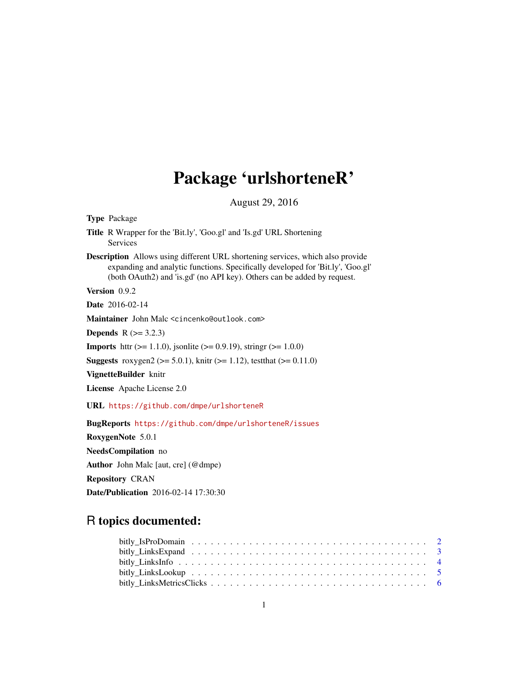# Package 'urlshorteneR'

August 29, 2016

| <b>Type Package</b>                                                                                                                                                                                                                                 |
|-----------------------------------------------------------------------------------------------------------------------------------------------------------------------------------------------------------------------------------------------------|
| <b>Title</b> R Wrapper for the 'Bit.ly', 'Goo.gl' and 'Is.gd' URL Shortening<br><b>Services</b>                                                                                                                                                     |
| <b>Description</b> Allows using different URL shortening services, which also provide<br>expanding and analytic functions. Specifically developed for 'Bit.ly', 'Goo.gl'<br>(both OAuth2) and 'is.gd' (no API key). Others can be added by request. |
| Version 0.9.2                                                                                                                                                                                                                                       |
| <b>Date</b> 2016-02-14                                                                                                                                                                                                                              |
| Maintainer John Malc <cincenko@outlook.com></cincenko@outlook.com>                                                                                                                                                                                  |
| <b>Depends</b> $R (= 3.2.3)$                                                                                                                                                                                                                        |
| <b>Imports</b> http://edu. 1.1.0. jsonlite ( $> = 0.9.19$ ), string r( $> = 1.0.0$ )                                                                                                                                                                |
| <b>Suggests</b> roxygen2 ( $>= 5.0.1$ ), knitr ( $>= 1.12$ ), test that ( $>= 0.11.0$ )                                                                                                                                                             |
| VignetteBuilder knitr                                                                                                                                                                                                                               |
| <b>License</b> Apache License 2.0                                                                                                                                                                                                                   |
| URL https://github.com/dmpe/urlshorteneR                                                                                                                                                                                                            |
| BugReports https://github.com/dmpe/urlshorteneR/issues                                                                                                                                                                                              |
| RoxygenNote 5.0.1                                                                                                                                                                                                                                   |
| NeedsCompilation no                                                                                                                                                                                                                                 |
| <b>Author</b> John Malc [aut, cre] ( $@dmpe$ )                                                                                                                                                                                                      |
| <b>Repository CRAN</b>                                                                                                                                                                                                                              |
| <b>Date/Publication</b> 2016-02-14 17:30:30                                                                                                                                                                                                         |
|                                                                                                                                                                                                                                                     |

# R topics documented: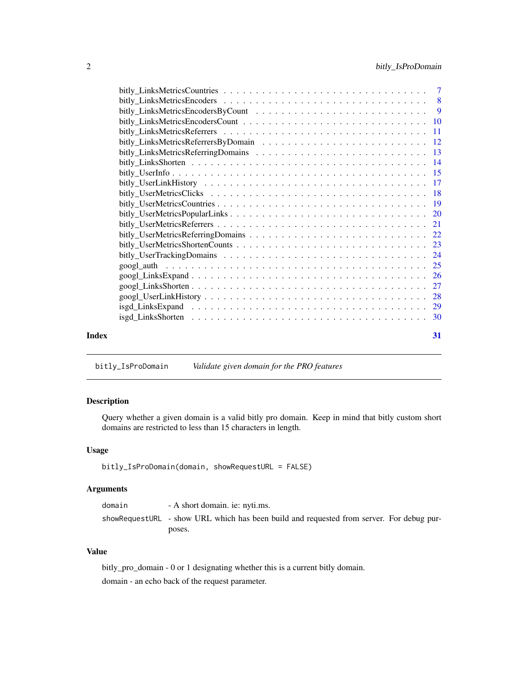<span id="page-1-0"></span>

|       |                                                                                                            | 27 |
|-------|------------------------------------------------------------------------------------------------------------|----|
|       |                                                                                                            |    |
|       | $isgd_Links Expand \ldots \ldots \ldots \ldots \ldots \ldots \ldots \ldots \ldots \ldots \ldots \ldots 29$ |    |
|       |                                                                                                            |    |
| Index |                                                                                                            | 31 |

bitly\_IsProDomain *Validate given domain for the PRO features*

# Description

Query whether a given domain is a valid bitly pro domain. Keep in mind that bitly custom short domains are restricted to less than 15 characters in length.

# Usage

```
bitly_IsProDomain(domain, showRequestURL = FALSE)
```
# Arguments

| domain | - A short domain. ie: nyti.ms.                                                           |
|--------|------------------------------------------------------------------------------------------|
|        | showRequestURL - show URL which has been build and requested from server. For debug pur- |
|        | poses.                                                                                   |

# Value

bitly\_pro\_domain - 0 or 1 designating whether this is a current bitly domain. domain - an echo back of the request parameter.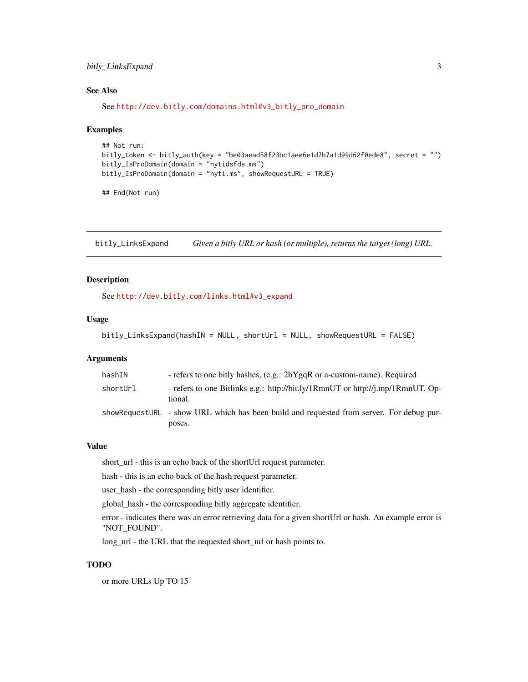# <span id="page-2-0"></span>bitly\_LinksExpand 3

# See Also

See [http://dev.bitly.com/domains.html#v3\\_bitly\\_pro\\_domain](http://dev.bitly.com/domains.html#v3_bitly_pro_domain)

#### Examples

```
## Not run:
bitly_token <- bitly_auth(key = "be03aead58f23bc1aee6e1d7b7a1d99d62f0ede8", secret = "")
bitly_IsProDomain(domain = "nytidsfds.ms")
bitly_IsProDomain(domain = "nyti.ms", showRequestURL = TRUE)
```
## End(Not run)

bitly\_LinksExpand *Given a bitly URL or hash (or multiple), returns the target (long) URL.*

# Description

See [http://dev.bitly.com/links.html#v3\\_expand](http://dev.bitly.com/links.html#v3_expand)

# Usage

```
bitly_LinksExpand(hashIN = NULL, shortUrl = NULL, showRequestURL = FALSE)
```
#### **Arguments**

| hashIN   | - refers to one bitly hashes, (e.g.: 2bYgqR or a-custom-name). Required                            |
|----------|----------------------------------------------------------------------------------------------------|
| shortUrl | - refers to one Bitlinks e.g.: http://bit.ly/1RmnUT or http://j.mp/1RmnUT. Op-<br>tional.          |
|          | showRequestURL - show URL which has been build and requested from server. For debug pur-<br>poses. |

### Value

short\_url - this is an echo back of the shortUrl request parameter.

hash - this is an echo back of the hash request parameter.

user\_hash - the corresponding bitly user identifier.

global\_hash - the corresponding bitly aggregate identifier.

error - indicates there was an error retrieving data for a given shortUrl or hash. An example error is "NOT\_FOUND".

long\_url - the URL that the requested short\_url or hash points to.

# TODO

or more URLs Up TO 15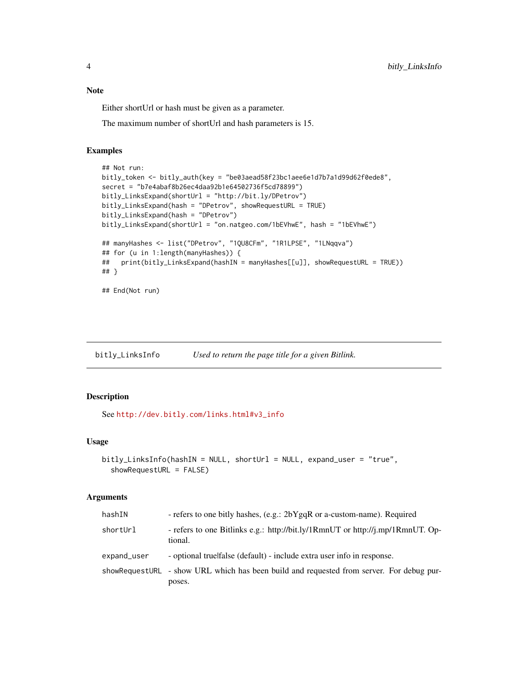# <span id="page-3-0"></span>Note

Either shortUrl or hash must be given as a parameter.

The maximum number of shortUrl and hash parameters is 15.

# Examples

```
## Not run:
bitly_token <- bitly_auth(key = "be03aead58f23bc1aee6e1d7b7a1d99d62f0ede8",
secret = "b7e4abaf8b26ec4daa92b1e64502736f5cd78899")
bitly_LinksExpand(shortUrl = "http://bit.ly/DPetrov")
bitly_LinksExpand(hash = "DPetrov", showRequestURL = TRUE)
bitly_LinksExpand(hash = "DPetrov")
bitly_LinksExpand(shortUrl = "on.natgeo.com/1bEVhwE", hash = "1bEVhwE")
## manyHashes <- list("DPetrov", "1QU8CFm", "1R1LPSE", "1LNqqva")
## for (u in 1:length(manyHashes)) {
## print(bitly_LinksExpand(hashIN = manyHashes[[u]], showRequestURL = TRUE))
## }
## End(Not run)
```
bitly\_LinksInfo *Used to return the page title for a given Bitlink.*

# Description

See [http://dev.bitly.com/links.html#v3\\_info](http://dev.bitly.com/links.html#v3_info)

# Usage

```
bitly_LinksInfo(hashIN = NULL, shortUrl = NULL, expand_user = "true",
  showRequestURL = FALSE)
```
# Arguments

| hashIN      | - refers to one bitly hashes, (e.g.: 2bYgqR or a-custom-name). Required                            |
|-------------|----------------------------------------------------------------------------------------------------|
| shortUrl    | - refers to one Bitlinks e.g.: http://bit.ly/1RmnUT or http://j.mp/1RmnUT. Op-<br>tional.          |
| expand_user | - optional truelfalse (default) - include extra user info in response.                             |
|             | showRequestURL - show URL which has been build and requested from server. For debug pur-<br>poses. |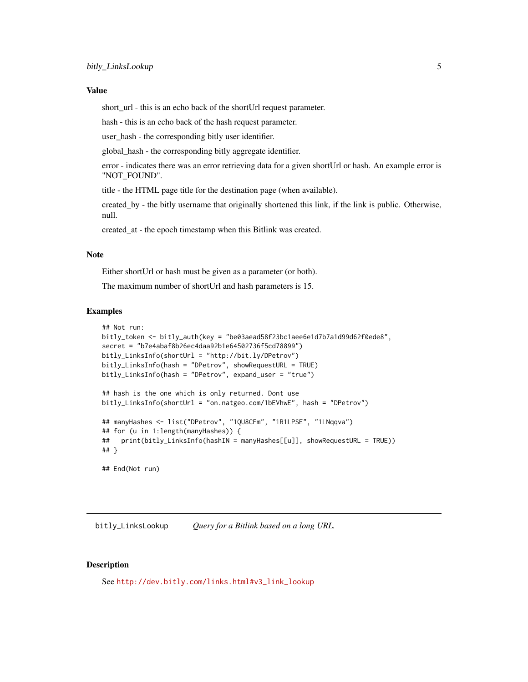#### <span id="page-4-0"></span>Value

short\_url - this is an echo back of the shortUrl request parameter.

hash - this is an echo back of the hash request parameter.

user\_hash - the corresponding bitly user identifier.

global\_hash - the corresponding bitly aggregate identifier.

error - indicates there was an error retrieving data for a given shortUrl or hash. An example error is "NOT\_FOUND".

title - the HTML page title for the destination page (when available).

created\_by - the bitly username that originally shortened this link, if the link is public. Otherwise, null.

created\_at - the epoch timestamp when this Bitlink was created.

# **Note**

Either shortUrl or hash must be given as a parameter (or both).

The maximum number of shortUrl and hash parameters is 15.

#### Examples

```
## Not run:
bitly_token <- bitly_auth(key = "be03aead58f23bc1aee6e1d7b7a1d99d62f0ede8",
secret = "b7e4abaf8b26ec4daa92b1e64502736f5cd78899")
bitly_LinksInfo(shortUrl = "http://bit.ly/DPetrov")
bitly_LinksInfo(hash = "DPetrov", showRequestURL = TRUE)
bitly_LinksInfo(hash = "DPetrov", expand_user = "true")
## hash is the one which is only returned. Dont use
bitly_LinksInfo(shortUrl = "on.natgeo.com/1bEVhwE", hash = "DPetrov")
## manyHashes <- list("DPetrov", "1QU8CFm", "1R1LPSE", "1LNqqva")
## for (u in 1:length(manyHashes)) {
## print(bitly_LinksInfo(hashIN = manyHashes[[u]], showRequestURL = TRUE))
## }
## End(Not run)
```
bitly\_LinksLookup *Query for a Bitlink based on a long URL.*

#### Description

See [http://dev.bitly.com/links.html#v3\\_link\\_lookup](http://dev.bitly.com/links.html#v3_link_lookup)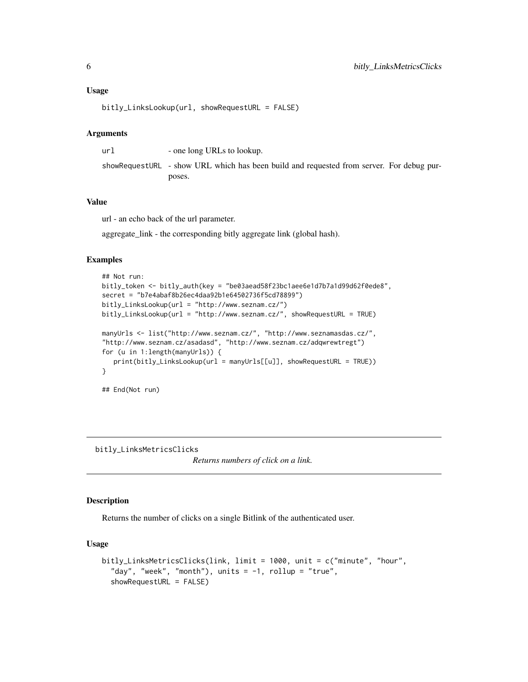# <span id="page-5-0"></span>Usage

bitly\_LinksLookup(url, showRequestURL = FALSE)

#### Arguments

url - one long URLs to lookup. showRequestURL - show URL which has been build and requested from server. For debug purposes.

# Value

url - an echo back of the url parameter.

aggregate\_link - the corresponding bitly aggregate link (global hash).

# Examples

```
## Not run:
bitly_token <- bitly_auth(key = "be03aead58f23bc1aee6e1d7b7a1d99d62f0ede8",
secret = "b7e4abaf8b26ec4daa92b1e64502736f5cd78899")
bitly_LinksLookup(url = "http://www.seznam.cz/")
bitly_LinksLookup(url = "http://www.seznam.cz/", showRequestURL = TRUE)
manyUrls <- list("http://www.seznam.cz/", "http://www.seznamasdas.cz/",
"http://www.seznam.cz/asadasd", "http://www.seznam.cz/adqwrewtregt")
for (u in 1:length(manyUrls)) {
   print(bitly_LinksLookup(url = manyUrls[[u]], showRequestURL = TRUE))
}
## End(Not run)
```
bitly\_LinksMetricsClicks

*Returns numbers of click on a link.*

#### Description

Returns the number of clicks on a single Bitlink of the authenticated user.

```
bitly_LinksMetricsClicks(link, limit = 1000, unit = c("minute", "hour",
  "day", "week", "month"), units = -1, rollup = "true",
 showRequestURL = FALSE)
```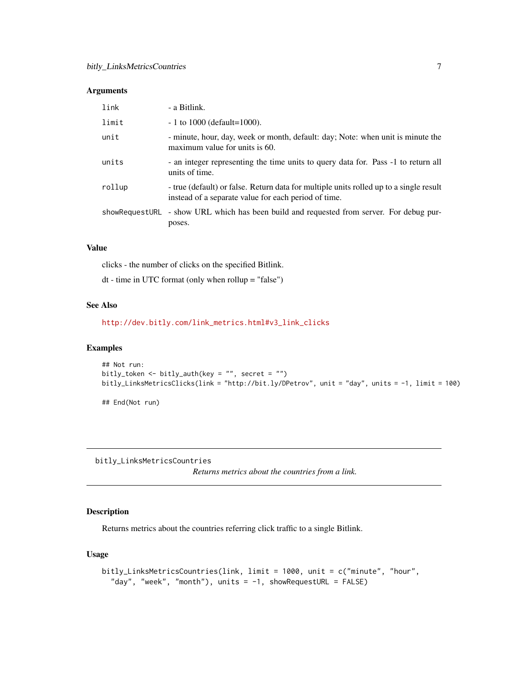<span id="page-6-0"></span>

| link           | - a Bitlink.                                                                                                                                   |
|----------------|------------------------------------------------------------------------------------------------------------------------------------------------|
| limit          | $-1$ to 1000 (default=1000).                                                                                                                   |
| unit           | - minute, hour, day, week or month, default: day; Note: when unit is minute the<br>maximum value for units is 60.                              |
| units          | - an integer representing the time units to query data for. Pass -1 to return all<br>units of time.                                            |
| rollup         | - true (default) or false. Return data for multiple units rolled up to a single result<br>instead of a separate value for each period of time. |
| showRequestURL | - show URL which has been build and requested from server. For debug pur-<br>poses.                                                            |

#### Value

clicks - the number of clicks on the specified Bitlink.

dt - time in UTC format (only when rollup = "false")

# See Also

[http://dev.bitly.com/link\\_metrics.html#v3\\_link\\_clicks](http://dev.bitly.com/link_metrics.html#v3_link_clicks)

# Examples

```
## Not run:
bitly_token <- bitly_auth(key = "", secret = "")
bitly_LinksMetricsClicks(link = "http://bit.ly/DPetrov", unit = "day", units = -1, limit = 100)
```
## End(Not run)

bitly\_LinksMetricsCountries

*Returns metrics about the countries from a link.*

# **Description**

Returns metrics about the countries referring click traffic to a single Bitlink.

```
bitly_LinksMetricsCountries(link, limit = 1000, unit = c("minute", "hour",
  "day", "week", "month"), units = -1, showRequestURL = FALSE)
```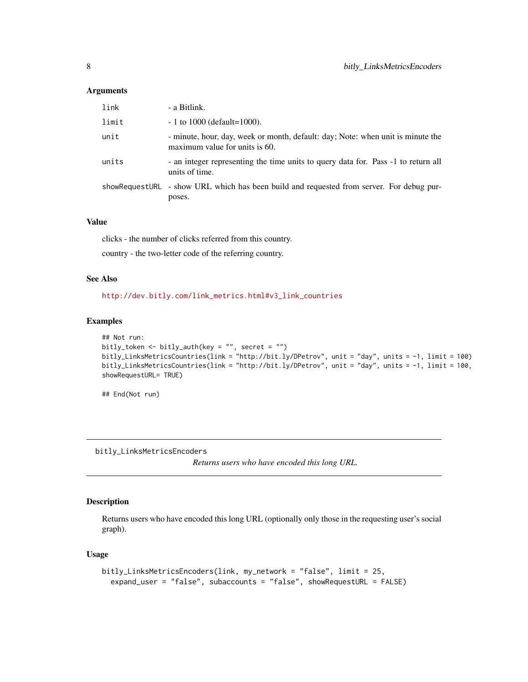<span id="page-7-0"></span>

| link  | - a Bitlink.                                                                                                      |
|-------|-------------------------------------------------------------------------------------------------------------------|
| limit | $-1$ to 1000 (default=1000).                                                                                      |
| unit  | - minute, hour, day, week or month, default: day; Note: when unit is minute the<br>maximum value for units is 60. |
| units | - an integer representing the time units to query data for. Pass -1 to return all<br>units of time.               |
|       | showRequestURL - show URL which has been build and requested from server. For debug pur-<br>poses.                |

# Value

clicks - the number of clicks referred from this country.

country - the two-letter code of the referring country.

# See Also

[http://dev.bitly.com/link\\_metrics.html#v3\\_link\\_countries](http://dev.bitly.com/link_metrics.html#v3_link_countries)

#### Examples

```
## Not run:
bitly_token <- bitly_auth(key = "", secret = "")
bitly_LinksMetricsCountries(link = "http://bit.ly/DPetrov", unit = "day", units = -1, limit = 100)
bitly_LinksMetricsCountries(link = "http://bit.ly/DPetrov", unit = "day", units = -1, limit = 100,
showRequestURL= TRUE)
```
## End(Not run)

bitly\_LinksMetricsEncoders

*Returns users who have encoded this long URL.*

# Description

Returns users who have encoded this long URL (optionally only those in the requesting user's social graph).

```
bitly_LinksMetricsEncoders(link, my_network = "false", limit = 25,
  expand_user = "false", subaccounts = "false", showRequestURL = FALSE)
```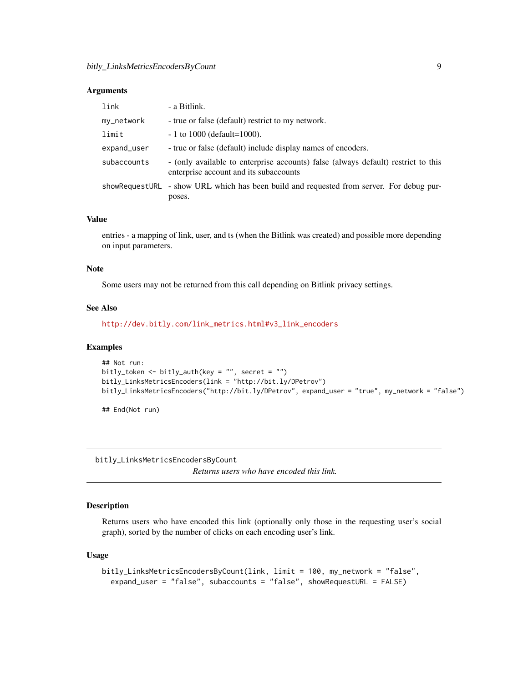<span id="page-8-0"></span>

| link        | - a Bitlink.                                                                                                                |
|-------------|-----------------------------------------------------------------------------------------------------------------------------|
| my_network  | - true or false (default) restrict to my network.                                                                           |
| limit       | $-1$ to 1000 (default=1000).                                                                                                |
| expand_user | - true or false (default) include display names of encoders.                                                                |
| subaccounts | - (only available to enterprise accounts) false (always default) restrict to this<br>enterprise account and its subaccounts |
|             | showRequestURL - show URL which has been build and requested from server. For debug pur-<br>poses.                          |

# Value

entries - a mapping of link, user, and ts (when the Bitlink was created) and possible more depending on input parameters.

#### Note

Some users may not be returned from this call depending on Bitlink privacy settings.

### See Also

[http://dev.bitly.com/link\\_metrics.html#v3\\_link\\_encoders](http://dev.bitly.com/link_metrics.html#v3_link_encoders)

#### Examples

```
## Not run:
bitly_token <- bitly_auth(key = "", secret = "")
bitly_LinksMetricsEncoders(link = "http://bit.ly/DPetrov")
bitly_LinksMetricsEncoders("http://bit.ly/DPetrov", expand_user = "true", my_network = "false")
```
## End(Not run)

bitly\_LinksMetricsEncodersByCount

*Returns users who have encoded this link.*

#### Description

Returns users who have encoded this link (optionally only those in the requesting user's social graph), sorted by the number of clicks on each encoding user's link.

```
bitly_LinksMetricsEncodersByCount(link, limit = 100, my_network = "false",
  expand_user = "false", subaccounts = "false", showRequestURL = FALSE)
```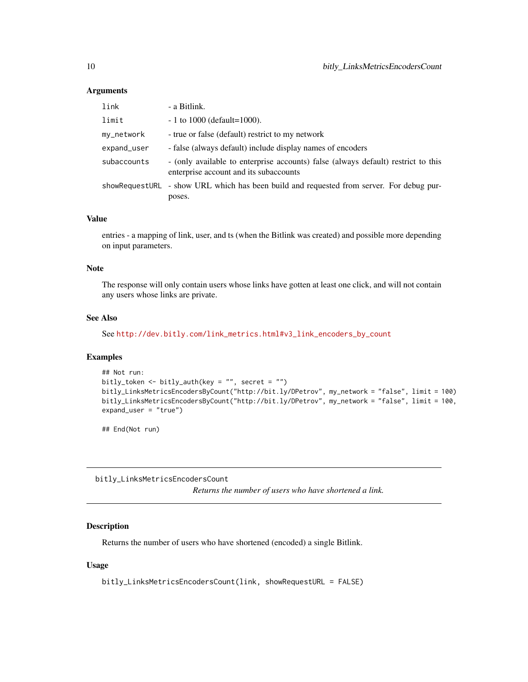<span id="page-9-0"></span>

| link        | - a Bitlink.                                                                                                                |
|-------------|-----------------------------------------------------------------------------------------------------------------------------|
| limit       | $-1$ to 1000 (default=1000).                                                                                                |
| my_network  | - true or false (default) restrict to my network                                                                            |
| expand_user | - false (always default) include display names of encoders                                                                  |
| subaccounts | - (only available to enterprise accounts) false (always default) restrict to this<br>enterprise account and its subaccounts |
|             | showRequestURL - show URL which has been build and requested from server. For debug pur-<br>poses.                          |

# Value

entries - a mapping of link, user, and ts (when the Bitlink was created) and possible more depending on input parameters.

#### Note

The response will only contain users whose links have gotten at least one click, and will not contain any users whose links are private.

# See Also

See [http://dev.bitly.com/link\\_metrics.html#v3\\_link\\_encoders\\_by\\_count](http://dev.bitly.com/link_metrics.html#v3_link_encoders_by_count)

#### Examples

```
## Not run:
bitly_token <- bitly_auth(key = "", secret = "")
bitly_LinksMetricsEncodersByCount("http://bit.ly/DPetrov", my_network = "false", limit = 100)
bitly_LinksMetricsEncodersByCount("http://bit.ly/DPetrov", my_network = "false", limit = 100,
expand_user = "true")
```
## End(Not run)

bitly\_LinksMetricsEncodersCount

*Returns the number of users who have shortened a link.*

# Description

Returns the number of users who have shortened (encoded) a single Bitlink.

```
bitly_LinksMetricsEncodersCount(link, showRequestURL = FALSE)
```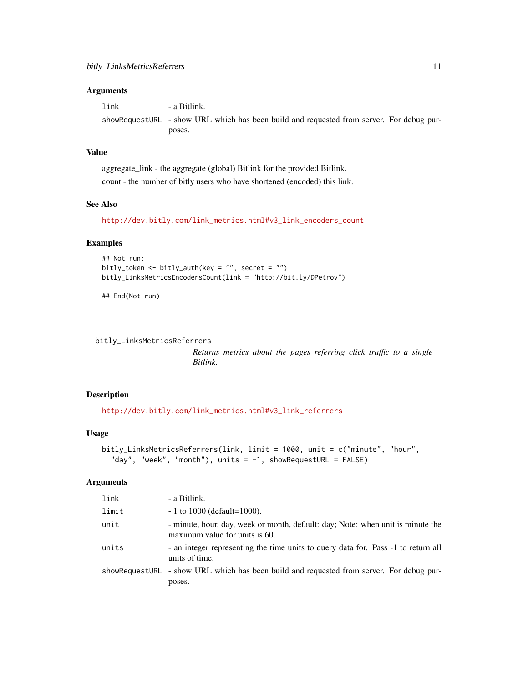<span id="page-10-0"></span>link - a Bitlink. showRequestURL - show URL which has been build and requested from server. For debug purposes.

# Value

aggregate\_link - the aggregate (global) Bitlink for the provided Bitlink. count - the number of bitly users who have shortened (encoded) this link.

# See Also

[http://dev.bitly.com/link\\_metrics.html#v3\\_link\\_encoders\\_count](http://dev.bitly.com/link_metrics.html#v3_link_encoders_count)

# Examples

```
## Not run:
bitly_token <- bitly_auth(key = "", secret = "")
bitly_LinksMetricsEncodersCount(link = "http://bit.ly/DPetrov")
```
## End(Not run)

```
bitly_LinksMetricsReferrers
```
*Returns metrics about the pages referring click traffic to a single Bitlink.*

#### Description

[http://dev.bitly.com/link\\_metrics.html#v3\\_link\\_referrers](http://dev.bitly.com/link_metrics.html#v3_link_referrers)

#### Usage

```
bitly_LinksMetricsReferrers(link, limit = 1000, unit = c("minute", "hour",
  "day", "week", "month"), units = -1, showRequestURL = FALSE)
```
# Arguments

| link  | - a Bitlink.                                                                                                      |
|-------|-------------------------------------------------------------------------------------------------------------------|
| limit | $-1$ to 1000 (default=1000).                                                                                      |
| unit  | - minute, hour, day, week or month, default: day; Note: when unit is minute the<br>maximum value for units is 60. |
| units | - an integer representing the time units to query data for. Pass -1 to return all<br>units of time.               |
|       | showRequestURL - show URL which has been build and requested from server. For debug pur-<br>poses.                |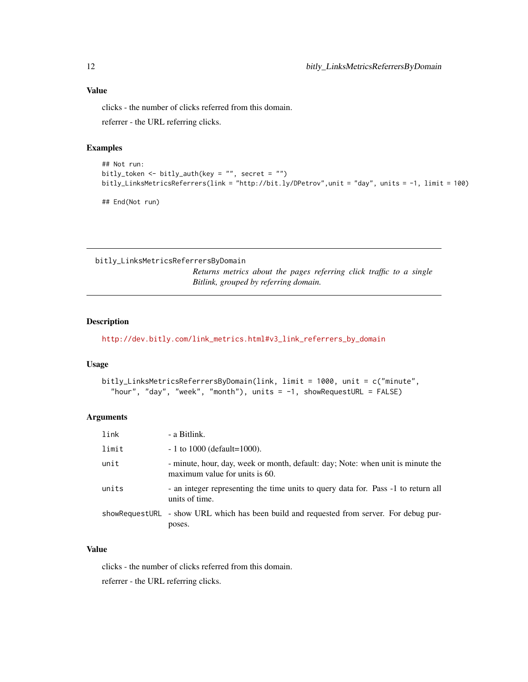# <span id="page-11-0"></span>Value

clicks - the number of clicks referred from this domain.

referrer - the URL referring clicks.

### Examples

```
## Not run:
bitly_token <- bitly_auth(key = "", secret = "")
bitly_LinksMetricsReferrers(link = "http://bit.ly/DPetrov",unit = "day", units = -1, limit = 100)
```
## End(Not run)

bitly\_LinksMetricsReferrersByDomain

*Returns metrics about the pages referring click traffic to a single Bitlink, grouped by referring domain.*

# **Description**

[http://dev.bitly.com/link\\_metrics.html#v3\\_link\\_referrers\\_by\\_domain](http://dev.bitly.com/link_metrics.html#v3_link_referrers_by_domain)

# Usage

```
bitly_LinksMetricsReferrersByDomain(link, limit = 1000, unit = c("minute",
  "hour", "day", "week", "month"), units = -1, showRequestURL = FALSE)
```
# Arguments

| link  | - a Bitlink.                                                                                                      |
|-------|-------------------------------------------------------------------------------------------------------------------|
| limit | $-1$ to 1000 (default=1000).                                                                                      |
| unit  | - minute, hour, day, week or month, default: day; Note: when unit is minute the<br>maximum value for units is 60. |
| units | - an integer representing the time units to query data for. Pass -1 to return all<br>units of time.               |
|       | showRequestURL - show URL which has been build and requested from server. For debug pur-<br>poses.                |

# Value

clicks - the number of clicks referred from this domain.

referrer - the URL referring clicks.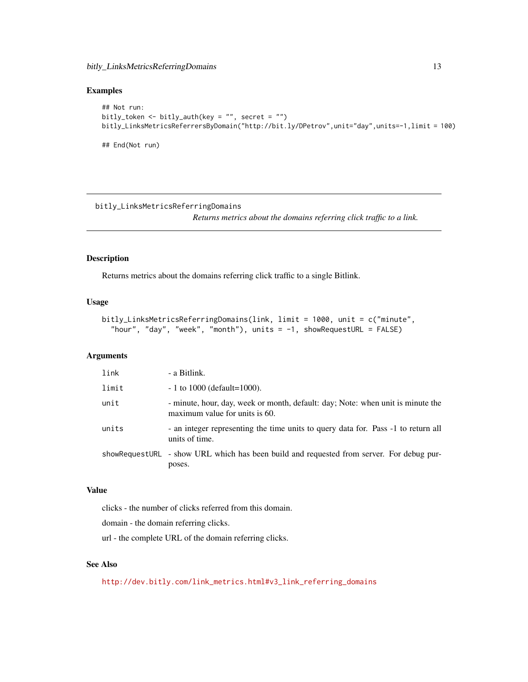```
## Not run:
bitly_token <- bitly_auth(key = "", secret = "")
bitly_LinksMetricsReferrersByDomain("http://bit.ly/DPetrov",unit="day",units=-1,limit = 100)
## End(Not run)
```
bitly\_LinksMetricsReferringDomains

*Returns metrics about the domains referring click traffic to a link.*

# Description

Returns metrics about the domains referring click traffic to a single Bitlink.

#### Usage

```
bitly_LinksMetricsReferringDomains(link, limit = 1000, unit = c("minute",
  "hour", "day", "week", "month"), units = -1, showRequestURL = FALSE)
```
# Arguments

| link  | - a Bitlink.                                                                                                      |
|-------|-------------------------------------------------------------------------------------------------------------------|
| limit | $-1$ to 1000 (default=1000).                                                                                      |
| unit  | - minute, hour, day, week or month, default: day; Note: when unit is minute the<br>maximum value for units is 60. |
| units | - an integer representing the time units to query data for. Pass -1 to return all<br>units of time.               |
|       | showRequestURL - show URL which has been build and requested from server. For debug pur-<br>poses.                |

#### Value

clicks - the number of clicks referred from this domain.

domain - the domain referring clicks.

url - the complete URL of the domain referring clicks.

# See Also

[http://dev.bitly.com/link\\_metrics.html#v3\\_link\\_referring\\_domains](http://dev.bitly.com/link_metrics.html#v3_link_referring_domains)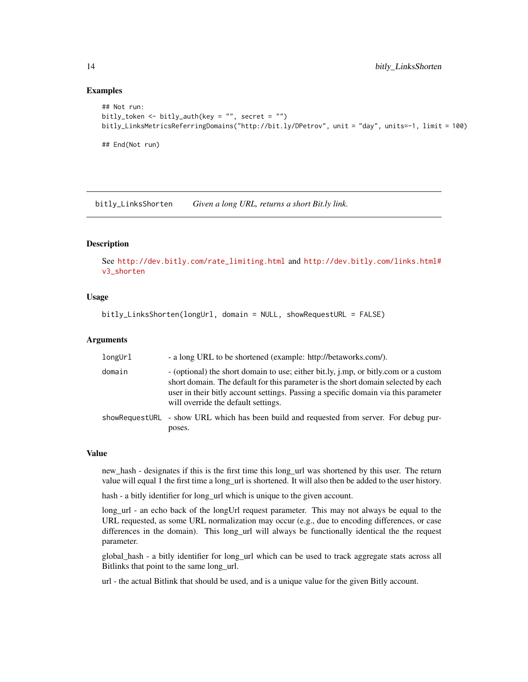```
## Not run:
bitly_token <- bitly_auth(key = "", secret = "")
bitly_LinksMetricsReferringDomains("http://bit.ly/DPetrov", unit = "day", units=-1, limit = 100)
## End(Not run)
```
bitly\_LinksShorten *Given a long URL, returns a short Bit.ly link.*

#### Description

See [http://dev.bitly.com/rate\\_limiting.html](http://dev.bitly.com/rate_limiting.html) and [http://dev.bitly.com/links.html#](http://dev.bitly.com/links.html#v3_shorten) [v3\\_shorten](http://dev.bitly.com/links.html#v3_shorten)

#### Usage

bitly\_LinksShorten(longUrl, domain = NULL, showRequestURL = FALSE)

#### Arguments

| longUrl | - a long URL to be shortened (example: http://betaworks.com/).                                                                                                                                                                                                                                        |
|---------|-------------------------------------------------------------------------------------------------------------------------------------------------------------------------------------------------------------------------------------------------------------------------------------------------------|
| domain  | - (optional) the short domain to use; either bit.ly, j.mp, or bitly.com or a custom<br>short domain. The default for this parameter is the short domain selected by each<br>user in their bitly account settings. Passing a specific domain via this parameter<br>will override the default settings. |
|         | showRequestURL - show URL which has been build and requested from server. For debug pur-<br>poses.                                                                                                                                                                                                    |

#### Value

new\_hash - designates if this is the first time this long\_url was shortened by this user. The return value will equal 1 the first time a long\_url is shortened. It will also then be added to the user history.

hash - a bitly identifier for long\_url which is unique to the given account.

long\_url - an echo back of the longUrl request parameter. This may not always be equal to the URL requested, as some URL normalization may occur (e.g., due to encoding differences, or case differences in the domain). This long\_url will always be functionally identical the the request parameter.

global\_hash - a bitly identifier for long\_url which can be used to track aggregate stats across all Bitlinks that point to the same long\_url.

url - the actual Bitlink that should be used, and is a unique value for the given Bitly account.

<span id="page-13-0"></span>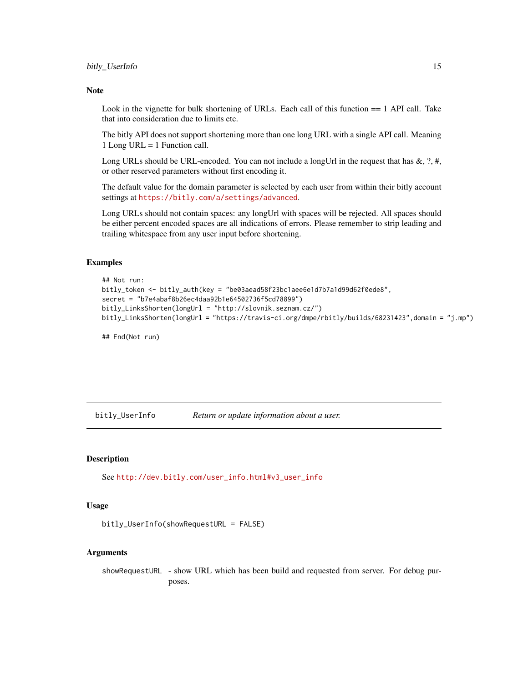#### <span id="page-14-0"></span>Note

Look in the vignette for bulk shortening of URLs. Each call of this function == 1 API call. Take that into consideration due to limits etc.

The bitly API does not support shortening more than one long URL with a single API call. Meaning 1 Long URL = 1 Function call.

Long URLs should be URL-encoded. You can not include a longUrl in the request that has  $\&$ , ?, #, or other reserved parameters without first encoding it.

The default value for the domain parameter is selected by each user from within their bitly account settings at <https://bitly.com/a/settings/advanced>.

Long URLs should not contain spaces: any longUrl with spaces will be rejected. All spaces should be either percent encoded spaces are all indications of errors. Please remember to strip leading and trailing whitespace from any user input before shortening.

#### Examples

```
## Not run:
bitly_token <- bitly_auth(key = "be03aead58f23bc1aee6e1d7b7a1d99d62f0ede8",
secret = "b7e4abaf8b26ec4daa92b1e64502736f5cd78899")
bitly_LinksShorten(longUrl = "http://slovnik.seznam.cz/")
bitly_LinksShorten(longUrl = "https://travis-ci.org/dmpe/rbitly/builds/68231423",domain = "j.mp")
```
## End(Not run)

bitly\_UserInfo *Return or update information about a user.*

# Description

See [http://dev.bitly.com/user\\_info.html#v3\\_user\\_info](http://dev.bitly.com/user_info.html#v3_user_info)

#### Usage

```
bitly_UserInfo(showRequestURL = FALSE)
```
#### Arguments

showRequestURL - show URL which has been build and requested from server. For debug purposes.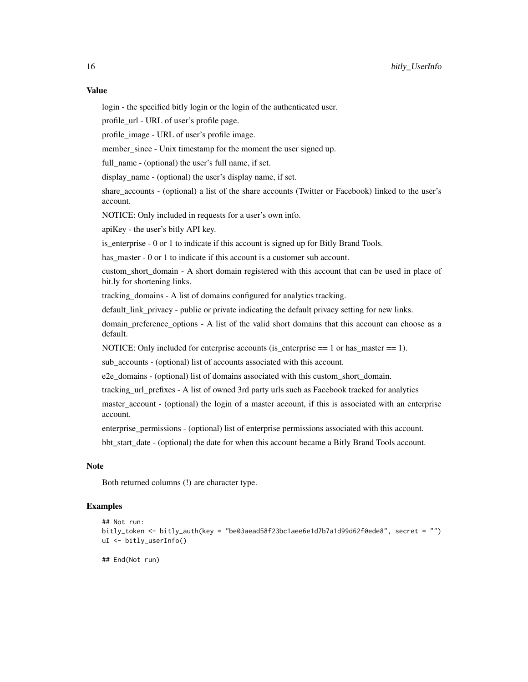login - the specified bitly login or the login of the authenticated user.

profile\_url - URL of user's profile page.

profile\_image - URL of user's profile image.

member\_since - Unix timestamp for the moment the user signed up.

full\_name - (optional) the user's full name, if set.

display name - (optional) the user's display name, if set.

share accounts - (optional) a list of the share accounts (Twitter or Facebook) linked to the user's account.

NOTICE: Only included in requests for a user's own info.

apiKey - the user's bitly API key.

is enterprise - 0 or 1 to indicate if this account is signed up for Bitly Brand Tools.

has\_master - 0 or 1 to indicate if this account is a customer sub account.

custom short domain - A short domain registered with this account that can be used in place of bit.ly for shortening links.

tracking\_domains - A list of domains configured for analytics tracking.

default link privacy - public or private indicating the default privacy setting for new links.

domain preference options - A list of the valid short domains that this account can choose as a default.

NOTICE: Only included for enterprise accounts (is\_enterprise  $== 1$  or has\_master  $== 1$ ).

sub\_accounts - (optional) list of accounts associated with this account.

e2e\_domains - (optional) list of domains associated with this custom\_short\_domain.

tracking\_url\_prefixes - A list of owned 3rd party urls such as Facebook tracked for analytics

master account - (optional) the login of a master account, if this is associated with an enterprise account.

enterprise\_permissions - (optional) list of enterprise permissions associated with this account.

bbt\_start\_date - (optional) the date for when this account became a Bitly Brand Tools account.

#### Note

Both returned columns (!) are character type.

#### Examples

```
## Not run:
bitly_token <- bitly_auth(key = "be03aead58f23bc1aee6e1d7b7a1d99d62f0ede8", secret = "")
uI <- bitly_userInfo()
```
## End(Not run)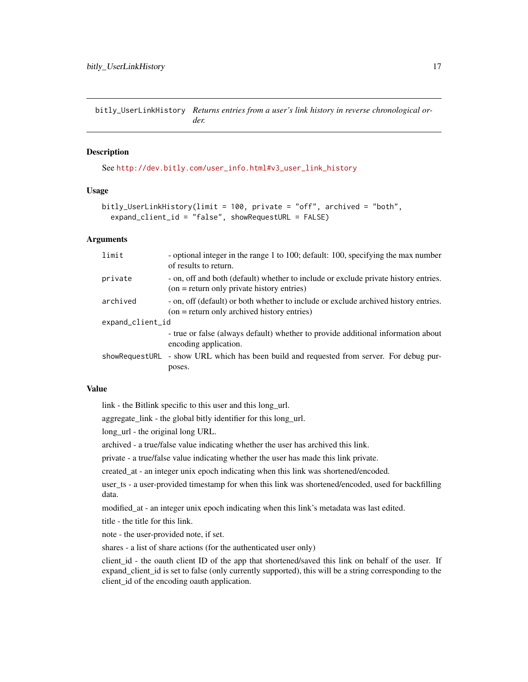<span id="page-16-0"></span>bitly\_UserLinkHistory *Returns entries from a user's link history in reverse chronological order.*

### Description

See [http://dev.bitly.com/user\\_info.html#v3\\_user\\_link\\_history](http://dev.bitly.com/user_info.html#v3_user_link_history)

### Usage

```
bitly_UserLinkHistory(limit = 100, private = "off", archived = "both",
  expand_client_id = "false", showRequestURL = FALSE)
```
# Arguments

| limit            | - optional integer in the range 1 to 100; default: 100, specifying the max number<br>of results to return.                           |  |
|------------------|--------------------------------------------------------------------------------------------------------------------------------------|--|
| private          | - on, off and both (default) whether to include or exclude private history entries.<br>$(on = return only private history entries)$  |  |
| archived         | - on, off (default) or both whether to include or exclude archived history entries.<br>$(on = return only archived history entries)$ |  |
| expand_client_id |                                                                                                                                      |  |
|                  | - true or false (always default) whether to provide additional information about<br>encoding application.                            |  |
| showRequestURL   | - show URL which has been build and requested from server. For debug pur-                                                            |  |
|                  | poses.                                                                                                                               |  |

# Value

link - the Bitlink specific to this user and this long\_url.

aggregate\_link - the global bitly identifier for this long\_url.

long\_url - the original long URL.

archived - a true/false value indicating whether the user has archived this link.

private - a true/false value indicating whether the user has made this link private.

created\_at - an integer unix epoch indicating when this link was shortened/encoded.

user ts - a user-provided timestamp for when this link was shortened/encoded, used for backfilling data.

modified\_at - an integer unix epoch indicating when this link's metadata was last edited.

title - the title for this link.

note - the user-provided note, if set.

shares - a list of share actions (for the authenticated user only)

client\_id - the oauth client ID of the app that shortened/saved this link on behalf of the user. If expand\_client\_id is set to false (only currently supported), this will be a string corresponding to the client\_id of the encoding oauth application.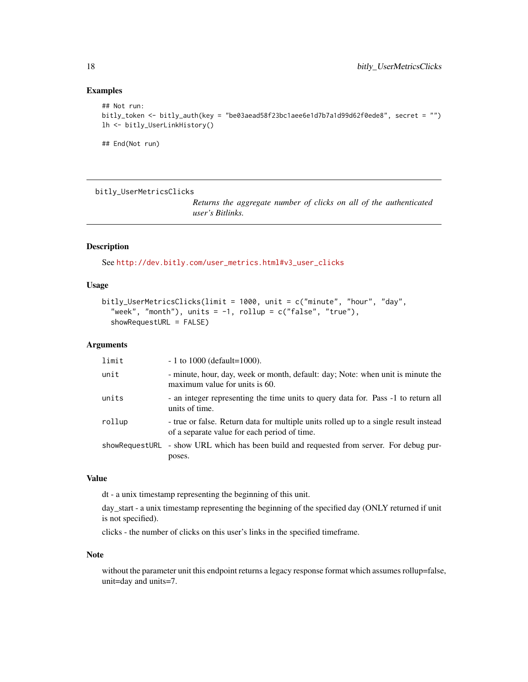```
## Not run:
bitly_token <- bitly_auth(key = "be03aead58f23bc1aee6e1d7b7a1d99d62f0ede8", secret = "")
lh <- bitly_UserLinkHistory()
```
## End(Not run)

bitly\_UserMetricsClicks

*Returns the aggregate number of clicks on all of the authenticated user's Bitlinks.*

# Description

See [http://dev.bitly.com/user\\_metrics.html#v3\\_user\\_clicks](http://dev.bitly.com/user_metrics.html#v3_user_clicks)

### Usage

```
bitly_UserMetricsClicks(limit = 1000, unit = c("minute", "hour", "day",
  "week", "month"), units = -1, rollup = c("false", "true"),showRequestURL = FALSE)
```
#### Arguments

| limit  | $-1$ to 1000 (default=1000).                                                                                                         |
|--------|--------------------------------------------------------------------------------------------------------------------------------------|
| unit   | - minute, hour, day, week or month, default: day; Note: when unit is minute the<br>maximum value for units is 60.                    |
| units  | - an integer representing the time units to query data for. Pass -1 to return all<br>units of time.                                  |
| rollup | - true or false. Return data for multiple units rolled up to a single result instead<br>of a separate value for each period of time. |
|        | showRequestURL - show URL which has been build and requested from server. For debug pur-<br>poses.                                   |

# Value

dt - a unix timestamp representing the beginning of this unit.

day\_start - a unix timestamp representing the beginning of the specified day (ONLY returned if unit is not specified).

clicks - the number of clicks on this user's links in the specified timeframe.

#### Note

without the parameter unit this endpoint returns a legacy response format which assumes rollup=false, unit=day and units=7.

<span id="page-17-0"></span>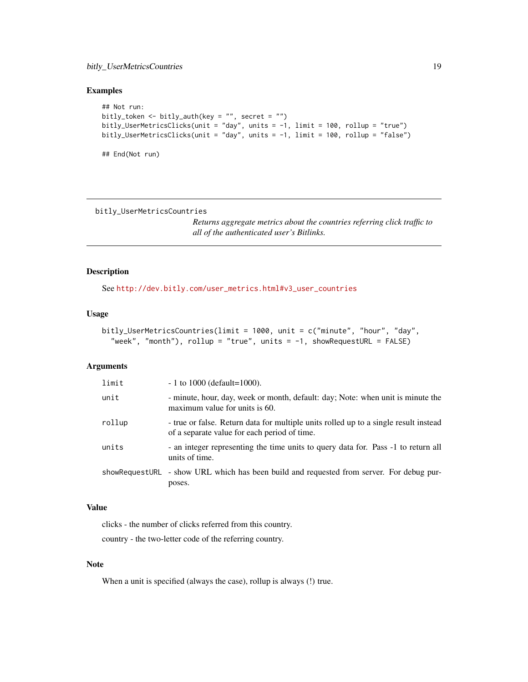```
## Not run:
bitly_token <- bitly_auth(key = "", secret = "")
bitly_UserMetricsClicks(unit = "day", units = -1, limit = 100, rollup = "true")
bitly_UserMetricsClicks(unit = "day", units = -1, limit = 100, rollup = "false")
## End(Not run)
```
bitly\_UserMetricsCountries

*Returns aggregate metrics about the countries referring click traffic to all of the authenticated user's Bitlinks.*

# Description

See [http://dev.bitly.com/user\\_metrics.html#v3\\_user\\_countries](http://dev.bitly.com/user_metrics.html#v3_user_countries)

#### Usage

```
bitly_UserMetricsCountries(limit = 1000, unit = c("minute", "hour", "day",
  "week", "month"), rollup = "true", units = -1, showRequestURL = FALSE)
```
#### Arguments

| limit  | $-1$ to 1000 (default=1000).                                                                                                         |
|--------|--------------------------------------------------------------------------------------------------------------------------------------|
| unit   | - minute, hour, day, week or month, default: day; Note: when unit is minute the<br>maximum value for units is 60.                    |
| rollup | - true or false. Return data for multiple units rolled up to a single result instead<br>of a separate value for each period of time. |
| units  | - an integer representing the time units to query data for. Pass -1 to return all<br>units of time.                                  |
|        | showRequestURL - show URL which has been build and requested from server. For debug pur-<br>poses.                                   |

# Value

clicks - the number of clicks referred from this country. country - the two-letter code of the referring country.

# Note

When a unit is specified (always the case), rollup is always (!) true.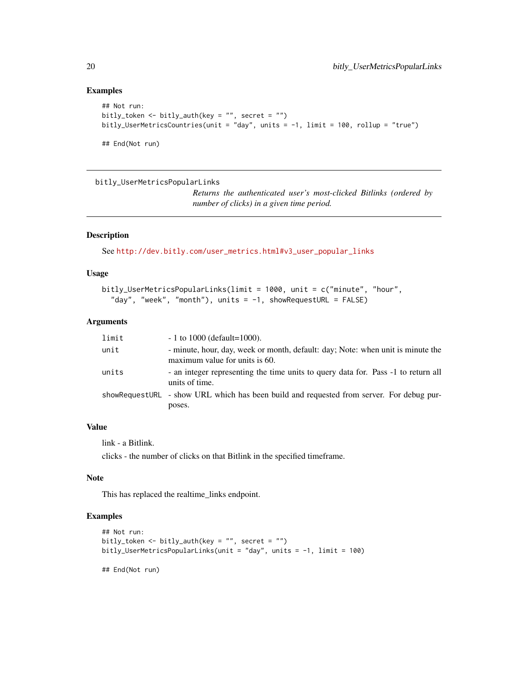```
## Not run:
bitly_token <- bitly_auth(key = "", secret = "")
bitly_UserMetricsCountries(unit = "day", units = -1, limit = 100, rollup = "true")
## End(Not run)
```
bitly\_UserMetricsPopularLinks

*Returns the authenticated user's most-clicked Bitlinks (ordered by number of clicks) in a given time period.*

#### Description

See [http://dev.bitly.com/user\\_metrics.html#v3\\_user\\_popular\\_links](http://dev.bitly.com/user_metrics.html#v3_user_popular_links)

# Usage

```
bitly_UserMetricsPopularLinks(limit = 1000, unit = c("minute", "hour",
  "day", "week", "month"), units = -1, showRequestURL = FALSE)
```
#### Arguments

| limit | $-1$ to 1000 (default=1000).                                                                                      |
|-------|-------------------------------------------------------------------------------------------------------------------|
| unit  | - minute, hour, day, week or month, default: day; Note: when unit is minute the<br>maximum value for units is 60. |
| units | - an integer representing the time units to query data for. Pass -1 to return all<br>units of time.               |
|       | showRequestURL - show URL which has been build and requested from server. For debug pur-                          |
|       | poses.                                                                                                            |

# Value

link - a Bitlink.

clicks - the number of clicks on that Bitlink in the specified timeframe.

# Note

This has replaced the realtime\_links endpoint.

# Examples

```
## Not run:
bitly_token <- bitly_auth(key = "", secret = "")
bitly_UserMetricsPopularLinks(unit = "day", units = -1, limit = 100)
```
## End(Not run)

<span id="page-19-0"></span>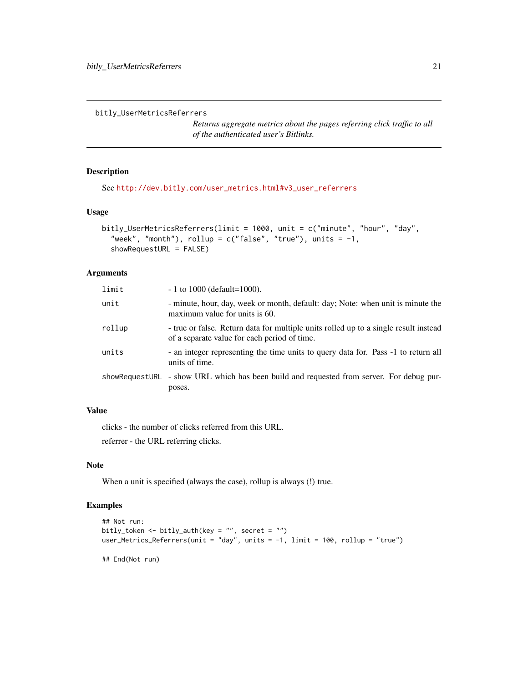```
bitly_UserMetricsReferrers
```
*Returns aggregate metrics about the pages referring click traffic to all of the authenticated user's Bitlinks.*

# Description

See [http://dev.bitly.com/user\\_metrics.html#v3\\_user\\_referrers](http://dev.bitly.com/user_metrics.html#v3_user_referrers)

# Usage

```
bitly_UserMetricsReferrers(limit = 1000, unit = c("minute", "hour", "day",
  "week", "month"), rollup = c("false", "true"), units = -1,
  showRequestURL = FALSE)
```
#### Arguments

| limit  | $-1$ to 1000 (default=1000).                                                                                                         |
|--------|--------------------------------------------------------------------------------------------------------------------------------------|
| unit   | - minute, hour, day, week or month, default: day; Note: when unit is minute the<br>maximum value for units is 60.                    |
| rollup | - true or false. Return data for multiple units rolled up to a single result instead<br>of a separate value for each period of time. |
| units  | - an integer representing the time units to query data for. Pass -1 to return all<br>units of time.                                  |
|        | showRequestURL - show URL which has been build and requested from server. For debug pur-<br>poses.                                   |

# Value

clicks - the number of clicks referred from this URL.

referrer - the URL referring clicks.

#### Note

When a unit is specified (always the case), rollup is always (!) true.

# Examples

```
## Not run:
bitly_token <- bitly_auth(key = "", secret = "")
user_Metrics_Referrers(unit = "day", units = -1, limit = 100, rollup = "true")
## End(Not run)
```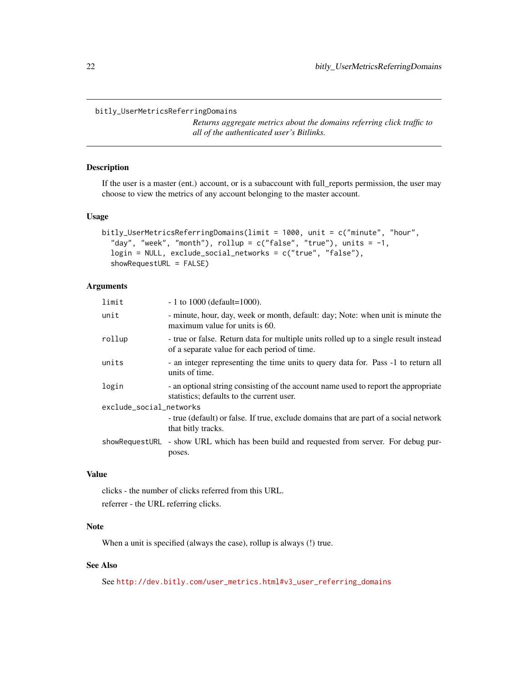#### <span id="page-21-0"></span>bitly\_UserMetricsReferringDomains

*Returns aggregate metrics about the domains referring click traffic to all of the authenticated user's Bitlinks.*

#### Description

If the user is a master (ent.) account, or is a subaccount with full\_reports permission, the user may choose to view the metrics of any account belonging to the master account.

# Usage

```
bitly_UserMetricsReferringDomains(limit = 1000, unit = c("minute", "hour",
  "day", "week", "month"), rollup = c("false", "true"), units = -1,
  login = NULL, exclude_social_networks = c("true", "false"),
  showRequestURL = FALSE)
```
# Arguments

| limit                   | $-1$ to 1000 (default=1000).                                                                                                         |
|-------------------------|--------------------------------------------------------------------------------------------------------------------------------------|
| unit                    | - minute, hour, day, week or month, default: day; Note: when unit is minute the<br>maximum value for units is 60.                    |
| rollup                  | - true or false. Return data for multiple units rolled up to a single result instead<br>of a separate value for each period of time. |
| units                   | - an integer representing the time units to query data for. Pass -1 to return all<br>units of time.                                  |
| login                   | - an optional string consisting of the account name used to report the appropriate<br>statistics; defaults to the current user.      |
| exclude_social_networks |                                                                                                                                      |
|                         | - true (default) or false. If true, exclude domains that are part of a social network<br>that bitly tracks.                          |
|                         | showRequestURL - show URL which has been build and requested from server. For debug pur-<br>poses.                                   |

# Value

clicks - the number of clicks referred from this URL. referrer - the URL referring clicks.

# Note

When a unit is specified (always the case), rollup is always (!) true.

# See Also

See [http://dev.bitly.com/user\\_metrics.html#v3\\_user\\_referring\\_domains](http://dev.bitly.com/user_metrics.html#v3_user_referring_domains)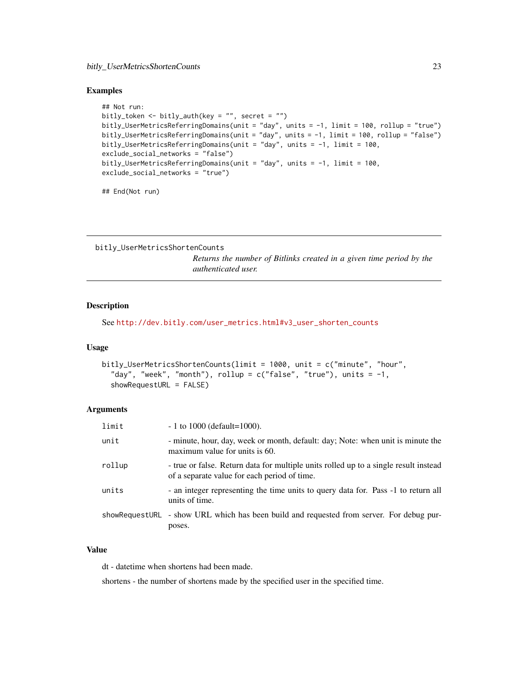```
## Not run:
bitly_token <- bitly_auth(key = "", secret = "")
bitly_UserMetricsReferringDomains(unit = "day", units = -1, limit = 100, rollup = "true")
bitly_UserMetricsReferringDomains(unit = "day", units = -1, limit = 100, rollup = "false")
bitly_UserMetricsReferringDomains(unit = "day", units = -1, limit = 100,
exclude_social_networks = "false")
bitly_UserMetricsReferringDomains(unit = "day", units = -1, limit = 100,
exclude_social_networks = "true")
```
## End(Not run)

bitly\_UserMetricsShortenCounts

*Returns the number of Bitlinks created in a given time period by the authenticated user.*

#### Description

See [http://dev.bitly.com/user\\_metrics.html#v3\\_user\\_shorten\\_counts](http://dev.bitly.com/user_metrics.html#v3_user_shorten_counts)

#### Usage

```
bitly_UserMetricsShortenCounts(limit = 1000, unit = c("minute", "hour",
  "day", "week", "month"), rollup = c("false", "true"), units = -1,showRequestURL = FALSE)
```
#### **Arguments**

| limit  | $-1$ to 1000 (default=1000).                                                                                                         |
|--------|--------------------------------------------------------------------------------------------------------------------------------------|
| unit   | - minute, hour, day, week or month, default: day; Note: when unit is minute the<br>maximum value for units is 60.                    |
| rollup | - true or false. Return data for multiple units rolled up to a single result instead<br>of a separate value for each period of time. |
| units  | - an integer representing the time units to query data for. Pass -1 to return all<br>units of time.                                  |
|        | showRequestURL - show URL which has been build and requested from server. For debug pur-<br>poses.                                   |

#### Value

dt - datetime when shortens had been made.

shortens - the number of shortens made by the specified user in the specified time.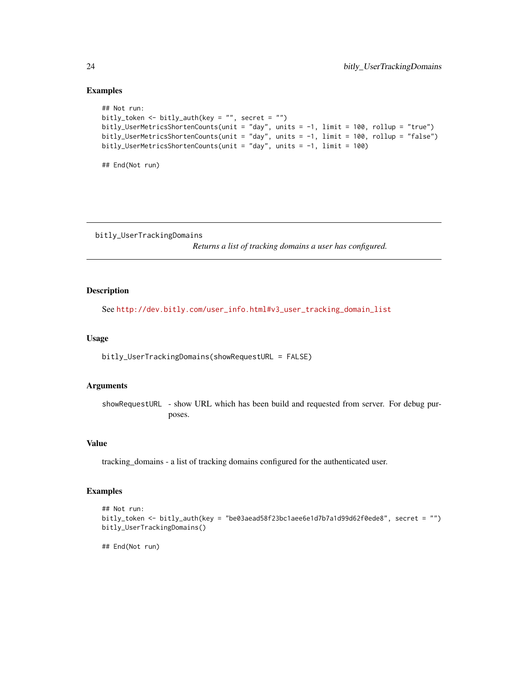```
## Not run:
bitly_token <- bitly_auth(key = "", secret = "")
bitly_UserMetricsShortenCounts(unit = "day", units = -1, limit = 100, rollup = "true")
bitly_UserMetricsShortenCounts(unit = "day", units = -1, limit = 100, rollup = "false")
bitly_UserMetricsShortenCounts(unit = "day", units = -1, limit = 100)
```
## End(Not run)

bitly\_UserTrackingDomains

*Returns a list of tracking domains a user has configured.*

#### Description

See [http://dev.bitly.com/user\\_info.html#v3\\_user\\_tracking\\_domain\\_list](http://dev.bitly.com/user_info.html#v3_user_tracking_domain_list)

#### Usage

bitly\_UserTrackingDomains(showRequestURL = FALSE)

#### Arguments

showRequestURL - show URL which has been build and requested from server. For debug purposes.

#### Value

tracking\_domains - a list of tracking domains configured for the authenticated user.

#### Examples

```
## Not run:
bitly_token <- bitly_auth(key = "be03aead58f23bc1aee6e1d7b7a1d99d62f0ede8", secret = "")
bitly_UserTrackingDomains()
```
## End(Not run)

<span id="page-23-0"></span>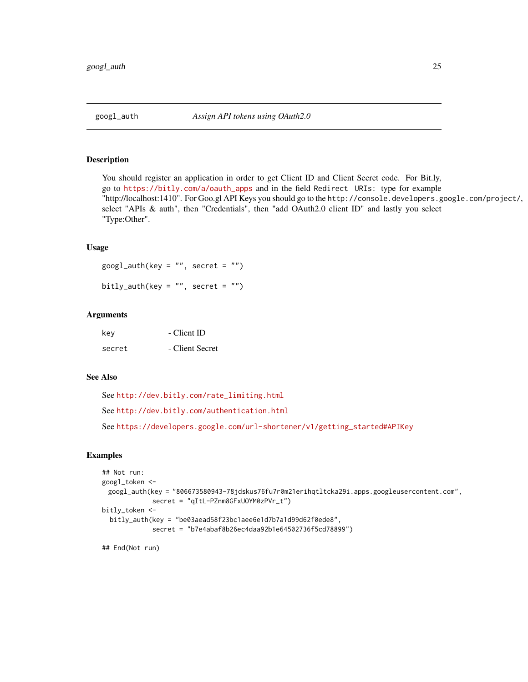<span id="page-24-1"></span><span id="page-24-0"></span>

#### Description

You should register an application in order to get Client ID and Client Secret code. For Bit.ly, go to [https://bitly.com/a/oauth\\_apps](https://bitly.com/a/oauth_apps) and in the field Redirect URIs: type for example "http://localhost:1410". For Goo.gl API Keys you should go to the http://console.developers.google.com/project/, select "APIs & auth", then "Credentials", then "add OAuth2.0 client ID" and lastly you select "Type:Other".

### Usage

 $googl_auth(key = "", secret = "")$ bitly\_auth(key = "", secret = "")

#### Arguments

| key    | - Client ID     |
|--------|-----------------|
| secret | - Client Secret |

#### See Also

See [http://dev.bitly.com/rate\\_limiting.html](http://dev.bitly.com/rate_limiting.html)

See <http://dev.bitly.com/authentication.html>

See [https://developers.google.com/url-shortener/v1/getting\\_started#APIKey](https://developers.google.com/url-shortener/v1/getting_started#APIKey)

# Examples

```
## Not run:
googl_token <-
 googl_auth(key = "806673580943-78jdskus76fu7r0m21erihqtltcka29i.apps.googleusercontent.com",
             secret = "qItL-PZnm8GFxUOYM0zPVr_t")
bitly_token <-
 bitly_auth(key = "be03aead58f23bc1aee6e1d7b7a1d99d62f0ede8",
             secret = "b7e4abaf8b26ec4daa92b1e64502736f5cd78899")
```
## End(Not run)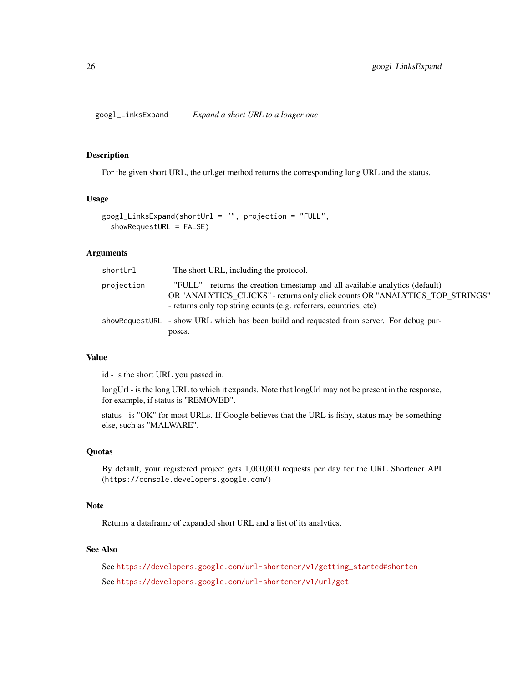<span id="page-25-0"></span>googl\_LinksExpand *Expand a short URL to a longer one*

# Description

For the given short URL, the url.get method returns the corresponding long URL and the status.

#### Usage

```
googl_LinksExpand(shortUrl = "", projection = "FULL",
  showRequestURL = FALSE)
```
#### Arguments

| shortUrl   | - The short URL, including the protocol.                                                                                                                                                                                             |
|------------|--------------------------------------------------------------------------------------------------------------------------------------------------------------------------------------------------------------------------------------|
| projection | - "FULL" - returns the creation timestamp and all available analytics (default)<br>OR "ANALYTICS_CLICKS" - returns only click counts OR "ANALYTICS_TOP_STRINGS"<br>- returns only top string counts (e.g. referrers, countries, etc) |
|            | showRequestURL - show URL which has been build and requested from server. For debug pur-<br>poses.                                                                                                                                   |

# Value

id - is the short URL you passed in.

longUrl - is the long URL to which it expands. Note that longUrl may not be present in the response, for example, if status is "REMOVED".

status - is "OK" for most URLs. If Google believes that the URL is fishy, status may be something else, such as "MALWARE".

#### **Quotas**

By default, your registered project gets 1,000,000 requests per day for the URL Shortener API (https://console.developers.google.com/)

#### Note

Returns a dataframe of expanded short URL and a list of its analytics.

# See Also

See [https://developers.google.com/url-shortener/v1/getting\\_started#shorten](https://developers.google.com/url-shortener/v1/getting_started#shorten) See <https://developers.google.com/url-shortener/v1/url/get>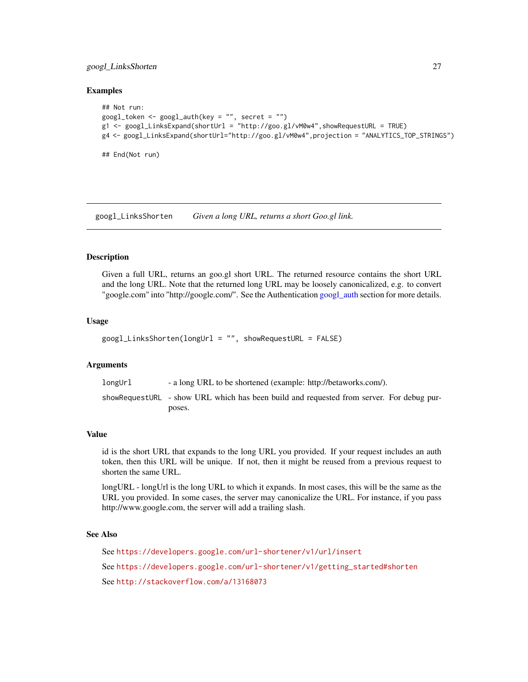#### <span id="page-26-0"></span>googl\_LinksShorten 27

#### Examples

```
## Not run:
googl_token <- googl_auth(key = "", secret = "")
g1 <- googl_LinksExpand(shortUrl = "http://goo.gl/vM0w4",showRequestURL = TRUE)
g4 <- googl_LinksExpand(shortUrl="http://goo.gl/vM0w4",projection = "ANALYTICS_TOP_STRINGS")
## End(Not run)
```
googl\_LinksShorten *Given a long URL, returns a short Goo.gl link.*

#### Description

Given a full URL, returns an goo.gl short URL. The returned resource contains the short URL and the long URL. Note that the returned long URL may be loosely canonicalized, e.g. to convert "google.com" into "http://google.com/". See the Authentication [googl\\_auth](#page-24-1) section for more details.

#### Usage

```
googl_LinksShorten(longUrl = "", showRequestURL = FALSE)
```
#### Arguments

longUrl - a long URL to be shortened (example: http://betaworks.com/). showRequestURL - show URL which has been build and requested from server. For debug purposes.

#### Value

id is the short URL that expands to the long URL you provided. If your request includes an auth token, then this URL will be unique. If not, then it might be reused from a previous request to shorten the same URL.

longURL - longUrl is the long URL to which it expands. In most cases, this will be the same as the URL you provided. In some cases, the server may canonicalize the URL. For instance, if you pass http://www.google.com, the server will add a trailing slash.

#### See Also

See <https://developers.google.com/url-shortener/v1/url/insert> See [https://developers.google.com/url-shortener/v1/getting\\_started#shorten](https://developers.google.com/url-shortener/v1/getting_started#shorten) See <http://stackoverflow.com/a/13168073>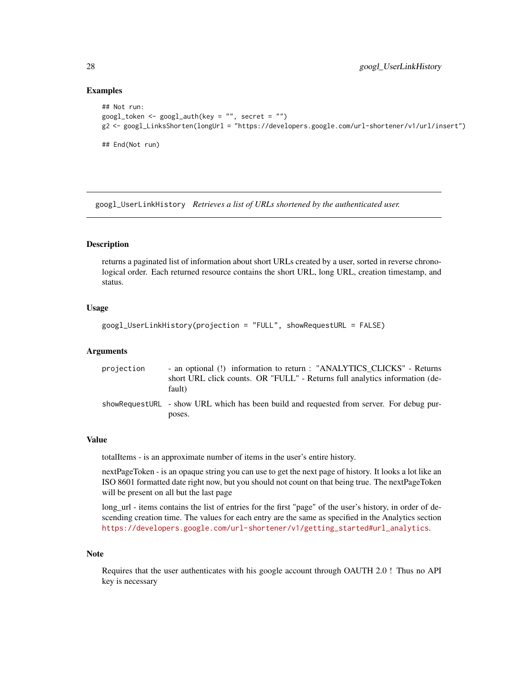```
## Not run:
googl_token <- googl_auth(key = "", secret = "")
g2 <- googl_LinksShorten(longUrl = "https://developers.google.com/url-shortener/v1/url/insert")
## End(Not run)
```
googl\_UserLinkHistory *Retrieves a list of URLs shortened by the authenticated user.*

#### **Description**

returns a paginated list of information about short URLs created by a user, sorted in reverse chronological order. Each returned resource contains the short URL, long URL, creation timestamp, and status.

# Usage

```
googl_UserLinkHistory(projection = "FULL", showRequestURL = FALSE)
```
#### Arguments

| projection | - an optional (!) information to return : "ANALYTICS_CLICKS" - Returns<br>short URL click counts. OR "FULL" - Returns full analytics information (de-<br>fault) |
|------------|-----------------------------------------------------------------------------------------------------------------------------------------------------------------|
|            | showRequestURL - show URL which has been build and requested from server. For debug pur-<br>poses.                                                              |

# Value

totalItems - is an approximate number of items in the user's entire history.

nextPageToken - is an opaque string you can use to get the next page of history. It looks a lot like an ISO 8601 formatted date right now, but you should not count on that being true. The nextPageToken will be present on all but the last page

long\_url - items contains the list of entries for the first "page" of the user's history, in order of descending creation time. The values for each entry are the same as specified in the Analytics section [https://developers.google.com/url-shortener/v1/getting\\_started#url\\_analytics](https://developers.google.com/url-shortener/v1/getting_started#url_analytics).

# Note

Requires that the user authenticates with his google account through OAUTH 2.0 ! Thus no API key is necessary

<span id="page-27-0"></span>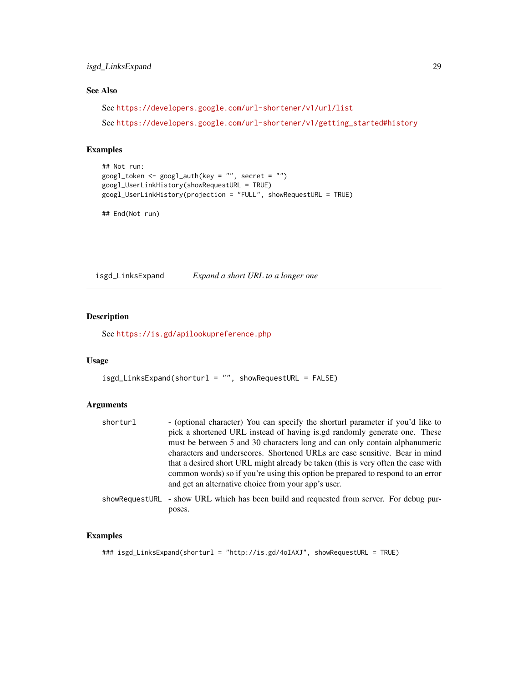# <span id="page-28-0"></span>isgd\_LinksExpand 29

# See Also

See <https://developers.google.com/url-shortener/v1/url/list>

See [https://developers.google.com/url-shortener/v1/getting\\_started#history](https://developers.google.com/url-shortener/v1/getting_started#history)

#### Examples

```
## Not run:
googl_token <- googl_auth(key = "", secret = "")
googl_UserLinkHistory(showRequestURL = TRUE)
googl_UserLinkHistory(projection = "FULL", showRequestURL = TRUE)
```
## End(Not run)

isgd\_LinksExpand *Expand a short URL to a longer one*

# **Description**

See <https://is.gd/apilookupreference.php>

### Usage

```
isgd_LinksExpand(shorturl = "", showRequestURL = FALSE)
```
#### Arguments

```
shorturl - (optional character) You can specify the shorturl parameter if you'd like to
                  pick a shortened URL instead of having is.gd randomly generate one. These
                  must be between 5 and 30 characters long and can only contain alphanumeric
                  characters and underscores. Shortened URLs are case sensitive. Bear in mind
                  that a desired short URL might already be taken (this is very often the case with
                  common words) so if you're using this option be prepared to respond to an error
                  and get an alternative choice from your app's user.
```
showRequestURL - show URL which has been build and requested from server. For debug purposes.

#### Examples

```
### isgd_LinksExpand(shorturl = "http://is.gd/4oIAXJ", showRequestURL = TRUE)
```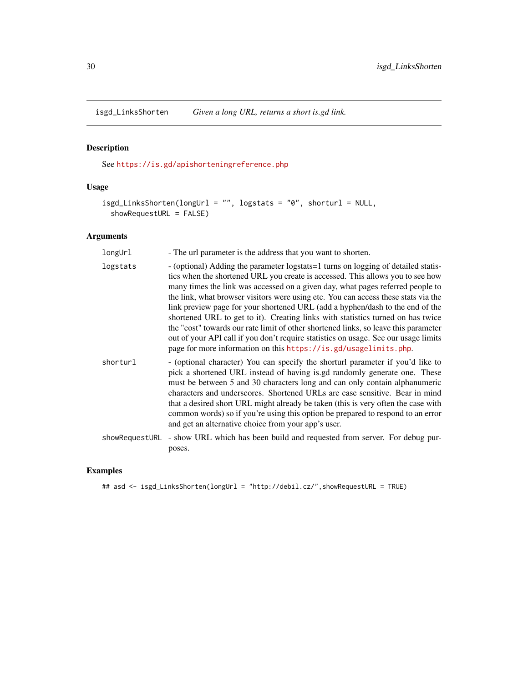<span id="page-29-0"></span>

# Description

See <https://is.gd/apishorteningreference.php>

# Usage

```
isgd_LinksShorten(longUrl = "", logstats = "0", shorturl = NULL,
  showRequestURL = FALSE)
```
# Arguments

| longUrl  | - The url parameter is the address that you want to shorten.                                                                                                                                                                                                                                                                                                                                                                                                                                                                                                                                                                                                                                                                                                        |
|----------|---------------------------------------------------------------------------------------------------------------------------------------------------------------------------------------------------------------------------------------------------------------------------------------------------------------------------------------------------------------------------------------------------------------------------------------------------------------------------------------------------------------------------------------------------------------------------------------------------------------------------------------------------------------------------------------------------------------------------------------------------------------------|
| logstats | - (optional) Adding the parameter logstats = 1 turns on logging of detailed statis-<br>tics when the shortened URL you create is accessed. This allows you to see how<br>many times the link was accessed on a given day, what pages referred people to<br>the link, what browser visitors were using etc. You can access these stats via the<br>link preview page for your shortened URL (add a hyphen/dash to the end of the<br>shortened URL to get to it). Creating links with statistics turned on has twice<br>the "cost" towards our rate limit of other shortened links, so leave this parameter<br>out of your API call if you don't require statistics on usage. See our usage limits<br>page for more information on this https://is.gd/usagelimits.php. |
| shorturl | - (optional character) You can specify the shorturl parameter if you'd like to<br>pick a shortened URL instead of having is gd randomly generate one. These<br>must be between 5 and 30 characters long and can only contain alphanumeric<br>characters and underscores. Shortened URLs are case sensitive. Bear in mind<br>that a desired short URL might already be taken (this is very often the case with<br>common words) so if you're using this option be prepared to respond to an error<br>and get an alternative choice from your app's user.                                                                                                                                                                                                             |
|          | showRequestURL - show URL which has been build and requested from server. For debug pur-<br>poses.                                                                                                                                                                                                                                                                                                                                                                                                                                                                                                                                                                                                                                                                  |

# Examples

## asd <- isgd\_LinksShorten(longUrl = "http://debil.cz/",showRequestURL = TRUE)